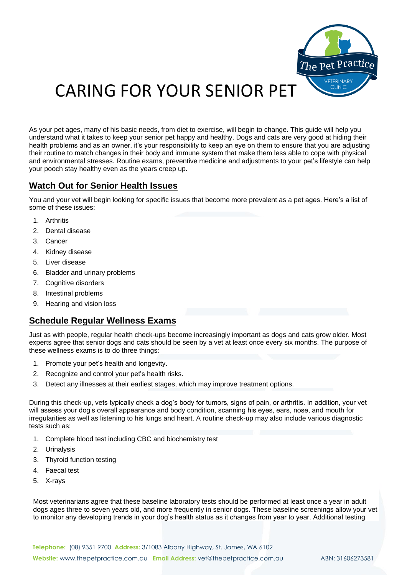

# CARING FOR YOUR SENIOR PET

As your pet ages, many of his basic needs, from diet to exercise, will begin to change. This guide will help you understand what it takes to keep your senior [pet](http://www.vetstreet.com/dogs/) happy and healthy. Dogs and cats are very good at hiding their health problems and as an owner, it's your responsibility to keep an eye on them to ensure that you are adjusting their routine to match changes in their body and immune system that make them less able to cope with physical and environmental stresses. Routine exams, preventive medicine and adjustments to your pet's lifestyle can help your pooch stay healthy even as the years creep up.

## **Watch Out for Senior Health Issues**

You and your vet will begin looking for specific issues that become more prevalent as a pet ages. Here's a list of some of these issues:

- 1. Arthritis
- 2. Dental disease
- 3. Cancer
- 4. Kidney disease
- 5. Liver disease
- 6. Bladder and urinary problems
- 7. Cognitive disorders
- 8. Intestinal problems
- 9. Hearing and vision loss

## **Schedule Regular Wellness Exams**

Just as with people, regular health check-ups become increasingly important as dogs and cats grow older. Most experts agree that senior dogs and cats should be seen by a vet at least once every six months. The purpose of these wellness exams is to do three things:

- 1. Promote your pet's health and longevity.
- 2. Recognize and control your pet's health risks.
- 3. Detect any illnesses at their earliest stages, which may improve treatment options.

During this check-up, vets typically check a dog's body for tumors, signs of pain, or arthritis. In addition, your vet will assess your dog's overall appearance and body condition, scanning his eyes, ears, nose, and mouth for irregularities as well as listening to his lungs and heart. A routine check-up may also include various diagnostic tests such as:

- 1. Complete blood test including CBC and biochemistry test
- 2. Urinalysis
- 3. Thyroid function testing
- 4. [Faecal test](http://www.vetstreet.com/care/fecal-centrifugation-testing)
- 5. X-rays

Most veterinarians agree that these baseline laboratory tests should be performed at least once a year in adult dogs ages three to seven years old, and more frequently in senior dogs. These baseline screenings allow your vet to monitor any developing trends in your dog's health status as it changes from year to year. Additional testing